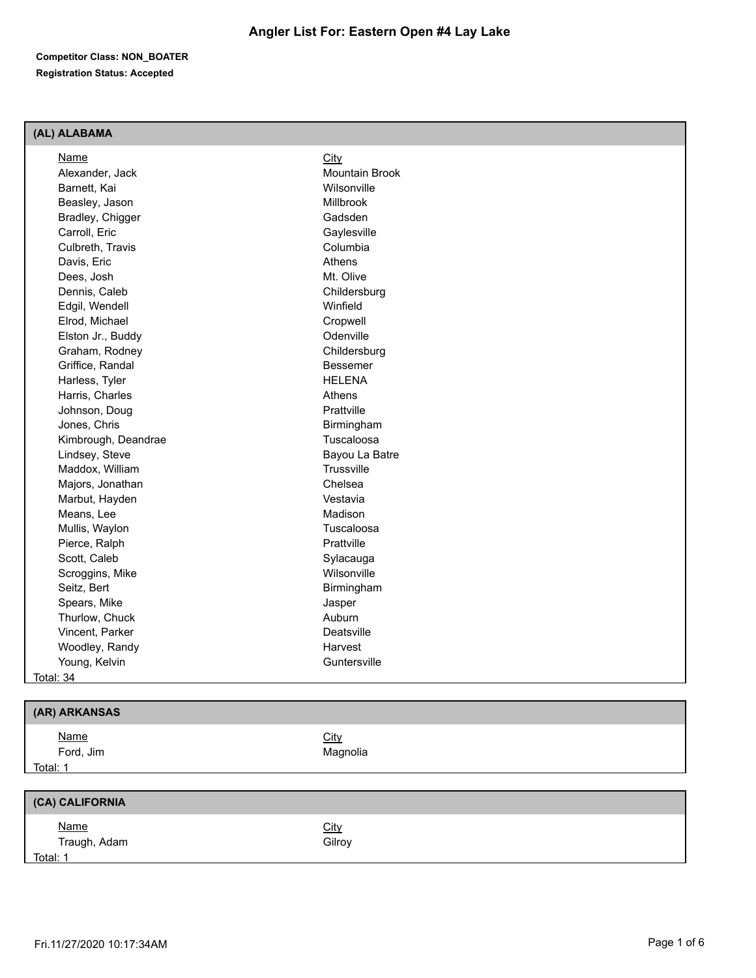## **Competitor Class: NON\_BOATER Registration Status: Accepted**

# **(AL) ALABAMA**

| <u>Name</u>         | City                  |
|---------------------|-----------------------|
| Alexander, Jack     | <b>Mountain Brook</b> |
| Barnett, Kai        | Wilsonville           |
| Beasley, Jason      | Millbrook             |
| Bradley, Chigger    | Gadsden               |
| Carroll, Eric       | Gaylesville           |
| Culbreth, Travis    | Columbia              |
| Davis, Eric         | Athens                |
| Dees, Josh          | Mt. Olive             |
| Dennis, Caleb       | Childersburg          |
| Edgil, Wendell      | Winfield              |
| Elrod, Michael      | Cropwell              |
| Elston Jr., Buddy   | Odenville             |
| Graham, Rodney      | Childersburg          |
| Griffice, Randal    | Bessemer              |
| Harless, Tyler      | <b>HELENA</b>         |
| Harris, Charles     | Athens                |
| Johnson, Doug       | Prattville            |
| Jones, Chris        | Birmingham            |
| Kimbrough, Deandrae | Tuscaloosa            |
| Lindsey, Steve      | Bayou La Batre        |
| Maddox, William     | Trussville            |
| Majors, Jonathan    | Chelsea               |
| Marbut, Hayden      | Vestavia              |
| Means, Lee          | Madison               |
| Mullis, Waylon      | Tuscaloosa            |
| Pierce, Ralph       | Prattville            |
| Scott, Caleb        | Sylacauga             |
| Scroggins, Mike     | Wilsonville           |
| Seitz, Bert         | Birmingham            |
| Spears, Mike        | Jasper                |
| Thurlow, Chuck      | Auburn                |
| Vincent, Parker     | Deatsville            |
| Woodley, Randy      | Harvest               |
| Young, Kelvin       | Guntersville          |
| <u>Total: 34</u>    |                       |

| (AR) ARKANSAS         |                         |
|-----------------------|-------------------------|
| <u>Name</u>           | <u>City</u><br>Magnolia |
| Ford, Jim<br>Total: 1 |                         |
|                       |                         |
| (CA) CALIFORNIA       |                         |

| $\sqrt{2}$   |             |  |
|--------------|-------------|--|
| <u>Name</u>  | <u>City</u> |  |
| Traugh, Adam | Gilroy      |  |
| Total: 1     |             |  |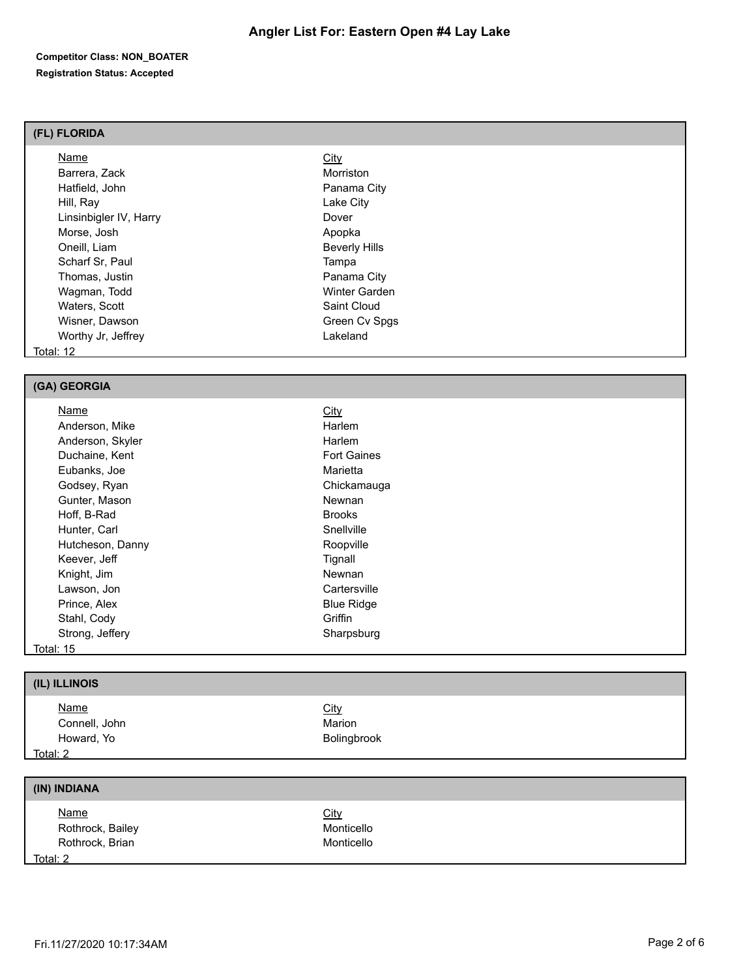#### **Competitor Class: NON\_BOATER Registration Status: Accepted**

# **(FL) FLORIDA**

| Name                   | <b>City</b>          |  |
|------------------------|----------------------|--|
| Barrera, Zack          | Morriston            |  |
| Hatfield, John         | Panama City          |  |
| Hill, Ray              | Lake City            |  |
| Linsinbigler IV, Harry | Dover                |  |
| Morse, Josh            | Apopka               |  |
| Oneill, Liam           | <b>Beverly Hills</b> |  |
| Scharf Sr, Paul        | Tampa                |  |
| Thomas, Justin         | Panama City          |  |
| Wagman, Todd           | Winter Garden        |  |
| Waters, Scott          | Saint Cloud          |  |
| Wisner, Dawson         | Green Cv Spgs        |  |
| Worthy Jr, Jeffrey     | Lakeland             |  |
| Total: 12              |                      |  |

#### **(GA) GEORGIA**

| Name             | <b>City</b>        |  |
|------------------|--------------------|--|
| Anderson, Mike   | Harlem             |  |
| Anderson, Skyler | Harlem             |  |
| Duchaine, Kent   | <b>Fort Gaines</b> |  |
| Eubanks, Joe     | Marietta           |  |
| Godsey, Ryan     | Chickamauga        |  |
| Gunter, Mason    | Newnan             |  |
| Hoff, B-Rad      | <b>Brooks</b>      |  |
| Hunter, Carl     | Snellville         |  |
| Hutcheson, Danny | Roopville          |  |
| Keever, Jeff     | Tignall            |  |
| Knight, Jim      | Newnan             |  |
| Lawson, Jon      | Cartersville       |  |
| Prince, Alex     | <b>Blue Ridge</b>  |  |
| Stahl, Cody      | Griffin            |  |
| Strong, Jeffery  | Sharpsburg         |  |
| Total: 15        |                    |  |

| (IL) ILLINOIS   |             |  |
|-----------------|-------------|--|
| <u>Name</u>     | City        |  |
| Connell, John   | Marion      |  |
| Howard, Yo      | Bolingbrook |  |
| <u>Total: 2</u> |             |  |

| (IN) INDIANA |
|--------------|
|              |

Name City Rothrock, Bailey **Monticello** Rothrock, Brian Monticello Total: 2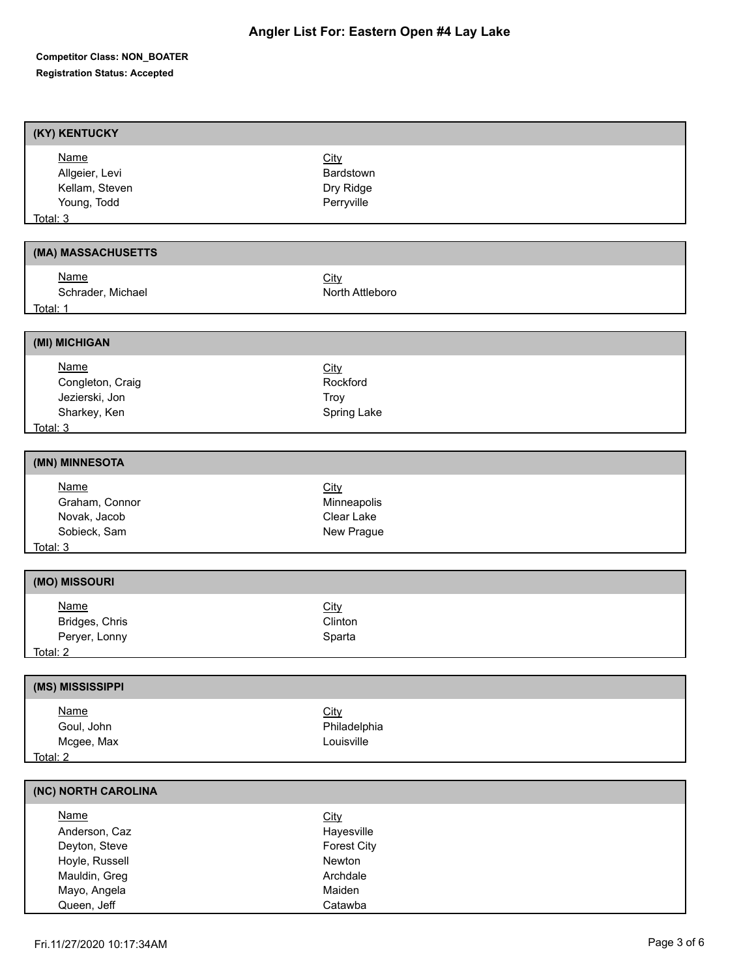## **Competitor Class: NON\_BOATER Registration Status: Accepted**

| (KY) KENTUCKY                                                                                                  |                         |  |
|----------------------------------------------------------------------------------------------------------------|-------------------------|--|
| <b>Name</b><br>Allgeier, Levi                                                                                  | City<br>Bardstown       |  |
| Kellam, Steven                                                                                                 | Dry Ridge               |  |
| Young, Todd                                                                                                    | Perryville              |  |
| Total: 3                                                                                                       |                         |  |
|                                                                                                                |                         |  |
| (MA) MASSACHUSETTS                                                                                             |                         |  |
| <b>Name</b>                                                                                                    | <b>City</b>             |  |
| Schrader, Michael                                                                                              | North Attleboro         |  |
|                                                                                                                |                         |  |
| (MI) MICHIGAN                                                                                                  |                         |  |
|                                                                                                                |                         |  |
| <b>Name</b>                                                                                                    | <b>City</b><br>Rockford |  |
| Congleton, Craig<br>Jezierski, Jon                                                                             |                         |  |
| Sharkey, Ken                                                                                                   | Troy<br>Spring Lake     |  |
| Total: 3 and 2 and 2 and 2 and 2 and 2 and 2 and 2 and 2 and 2 and 2 and 2 and 2 and 2 and 2 and 2 and 2 and 2 |                         |  |
|                                                                                                                |                         |  |
| (MN) MINNESOTA                                                                                                 |                         |  |
| <b>Name</b>                                                                                                    | City                    |  |
| Graham, Connor                                                                                                 | Minneapolis             |  |
| Novak, Jacob                                                                                                   | Clear Lake              |  |
| Sobieck, Sam                                                                                                   | New Prague              |  |
| Total: 3                                                                                                       |                         |  |
| (MO) MISSOURI                                                                                                  |                         |  |
| <b>Name</b>                                                                                                    | City                    |  |
| Bridges, Chris                                                                                                 | Clinton                 |  |
| Peryer, Lonny                                                                                                  | Sparta                  |  |
| Total: 2                                                                                                       |                         |  |
|                                                                                                                |                         |  |
| (MS) MISSISSIPPI                                                                                               |                         |  |
| <b>Name</b>                                                                                                    | City                    |  |
| Goul, John                                                                                                     | Philadelphia            |  |
| Mcgee, Max                                                                                                     | Louisville              |  |
| Total: 2                                                                                                       |                         |  |
| (NC) NORTH CAROLINA                                                                                            |                         |  |
| <b>Name</b>                                                                                                    | City                    |  |
| Anderson, Caz                                                                                                  | Hayesville              |  |
| Deyton, Steve                                                                                                  | <b>Forest City</b>      |  |
| Hoyle, Russell                                                                                                 | Newton                  |  |
| Mauldin, Greg                                                                                                  | Archdale                |  |
| Mayo, Angela                                                                                                   | Maiden                  |  |

Queen, Jeff Catawba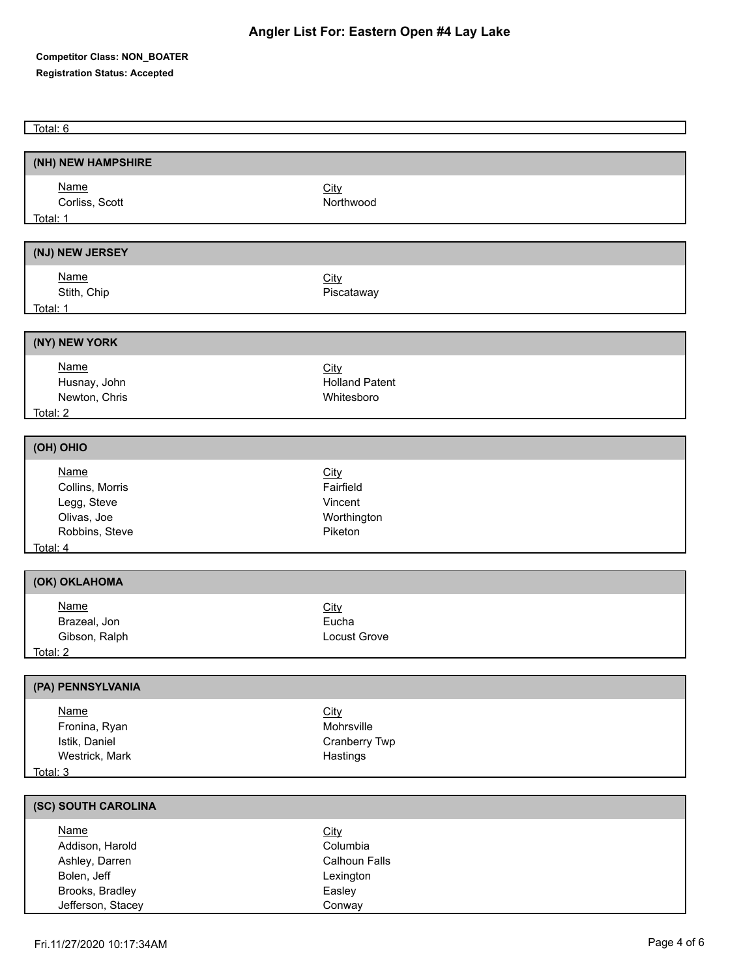# **Angler List For: Eastern Open #4 Lay Lake**

## **Competitor Class: NON\_BOATER Registration Status: Accepted**

| Total: 6                       |                        |
|--------------------------------|------------------------|
|                                |                        |
| (NH) NEW HAMPSHIRE             |                        |
| <b>Name</b>                    | <b>City</b>            |
| Corliss, Scott                 | Northwood              |
| Total: 1                       |                        |
| (NJ) NEW JERSEY                |                        |
| <b>Name</b>                    |                        |
| Stith, Chip                    | City<br>Piscataway     |
| Total: 1                       |                        |
|                                |                        |
| (NY) NEW YORK                  |                        |
| <b>Name</b>                    | City                   |
| Husnay, John                   | <b>Holland Patent</b>  |
| Newton, Chris                  | Whitesboro             |
| Total: 2                       |                        |
| (OH) OHIO                      |                        |
| <b>Name</b>                    | City                   |
| Collins, Morris                | Fairfield              |
| Legg, Steve                    | Vincent                |
| Olivas, Joe<br>Robbins, Steve  | Worthington<br>Piketon |
| Total: 4                       |                        |
|                                |                        |
| (OK) OKLAHOMA                  |                        |
| <b>Name</b>                    | <b>City</b>            |
| Brazeal, Jon                   | Eucha                  |
| Gibson, Ralph<br>Total: 2      | Locust Grove           |
|                                |                        |
| (PA) PENNSYLVANIA              |                        |
| <b>Name</b>                    | City                   |
| Fronina, Ryan                  | Mohrsville             |
| Istik, Daniel                  | Cranberry Twp          |
| Westrick, Mark<br>Total: 3     | Hastings               |
|                                |                        |
| (SC) SOUTH CAROLINA            |                        |
| <b>Name</b>                    | City                   |
| Addison, Harold                | Columbia               |
| Ashley, Darren                 | Calhoun Falls          |
| Bolen, Jeff<br>Brooks, Bradley | Lexington<br>Easley    |
| Jefferson, Stacey              | Conway                 |
|                                |                        |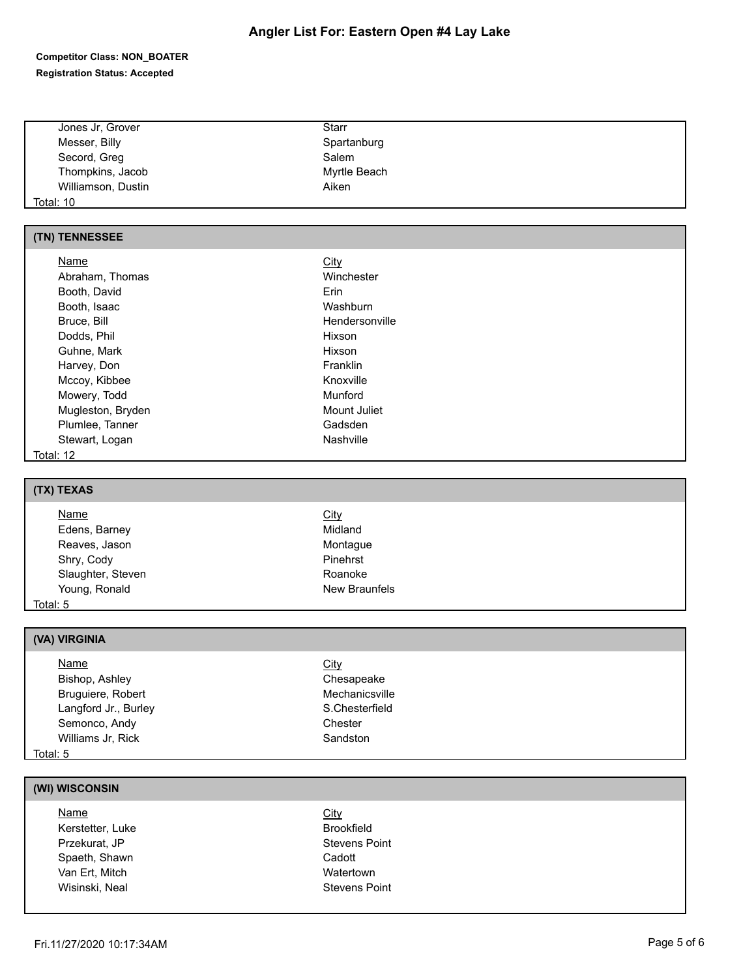# **Angler List For: Eastern Open #4 Lay Lake**

## **Competitor Class: NON\_BOATER Registration Status: Accepted**

| Jones Jr. Grover<br>Starr        |  |
|----------------------------------|--|
| Messer, Billy<br>Spartanburg     |  |
| Secord, Greg<br>Salem            |  |
| Thompkins, Jacob<br>Myrtle Beach |  |
| Williamson, Dustin<br>Aiken      |  |
| Total: 10                        |  |

# **(TN) TENNESSEE**

| Name              | City           |
|-------------------|----------------|
| Abraham, Thomas   | Winchester     |
| Booth, David      | Erin           |
| Booth, Isaac      | Washburn       |
| Bruce, Bill       | Hendersonville |
| Dodds, Phil       | Hixson         |
| Guhne, Mark       | Hixson         |
| Harvey, Don       | Franklin       |
| Mccoy, Kibbee     | Knoxville      |
| Mowery, Todd      | Munford        |
| Mugleston, Bryden | Mount Juliet   |
| Plumlee, Tanner   | Gadsden        |
| Stewart, Logan    | Nashville      |
| Total: 12         |                |

| (TX) TEXAS        |               |
|-------------------|---------------|
| <b>Name</b>       | <u>City</u>   |
| Edens, Barney     | Midland       |
| Reaves, Jason     | Montague      |
| Shry, Cody        | Pinehrst      |
| Slaughter, Steven | Roanoke       |
| Young, Ronald     | New Braunfels |
| Total: 5          |               |

# **(VA) VIRGINIA**

| Name                 | <u>City</u>    |  |
|----------------------|----------------|--|
| Bishop, Ashley       | Chesapeake     |  |
| Bruguiere, Robert    | Mechanicsville |  |
| Langford Jr., Burley | S.Chesterfield |  |
| Semonco, Andy        | Chester        |  |
| Williams Jr, Rick    | Sandston       |  |
| Total: 5             |                |  |

## **(WI) WISCONSIN**

| <u>Name</u>      | <b>City</b>          |  |
|------------------|----------------------|--|
| Kerstetter, Luke | <b>Brookfield</b>    |  |
| Przekurat, JP    | <b>Stevens Point</b> |  |
| Spaeth, Shawn    | Cadott               |  |
| Van Ert, Mitch   | Watertown            |  |
| Wisinski, Neal   | <b>Stevens Point</b> |  |